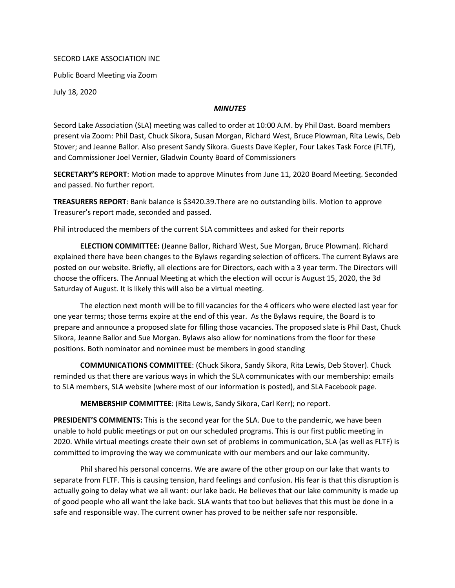## SECORD LAKE ASSOCIATION INC

Public Board Meeting via Zoom

July 18, 2020

## *MINUTES*

Secord Lake Association (SLA) meeting was called to order at 10:00 A.M. by Phil Dast. Board members present via Zoom: Phil Dast, Chuck Sikora, Susan Morgan, Richard West, Bruce Plowman, Rita Lewis, Deb Stover; and Jeanne Ballor. Also present Sandy Sikora. Guests Dave Kepler, Four Lakes Task Force (FLTF), and Commissioner Joel Vernier, Gladwin County Board of Commissioners

SECRETARY'S REPORT: Motion made to approve Minutes from June 11, 2020 Board Meeting. Seconded and passed. No further report.

TREASURERS REPORT: Bank balance is \$3420.39.There are no outstanding bills. Motion to approve Treasurer's report made, seconded and passed.

Phil introduced the members of the current SLA committees and asked for their reports

ELECTION COMMITTEE: (Jeanne Ballor, Richard West, Sue Morgan, Bruce Plowman). Richard explained there have been changes to the Bylaws regarding selection of officers. The current Bylaws are posted on our website. Briefly, all elections are for Directors, each with a 3 year term. The Directors will choose the officers. The Annual Meeting at which the election will occur is August 15, 2020, the 3d Saturday of August. It is likely this will also be a virtual meeting.

The election next month will be to fill vacancies for the 4 officers who were elected last year for one year terms; those terms expire at the end of this year. As the Bylaws require, the Board is to prepare and announce a proposed slate for filling those vacancies. The proposed slate is Phil Dast, Chuck Sikora, Jeanne Ballor and Sue Morgan. Bylaws also allow for nominations from the floor for these positions. Both nominator and nominee must be members in good standing

COMMUNICATIONS COMMITTEE: (Chuck Sikora, Sandy Sikora, Rita Lewis, Deb Stover). Chuck reminded us that there are various ways in which the SLA communicates with our membership: emails to SLA members, SLA website (where most of our information is posted), and SLA Facebook page.

MEMBERSHIP COMMITTEE: (Rita Lewis, Sandy Sikora, Carl Kerr); no report.

PRESIDENT'S COMMENTS: This is the second year for the SLA. Due to the pandemic, we have been unable to hold public meetings or put on our scheduled programs. This is our first public meeting in 2020. While virtual meetings create their own set of problems in communication, SLA (as well as FLTF) is committed to improving the way we communicate with our members and our lake community.

Phil shared his personal concerns. We are aware of the other group on our lake that wants to separate from FLTF. This is causing tension, hard feelings and confusion. His fear is that this disruption is actually going to delay what we all want: our lake back. He believes that our lake community is made up of good people who all want the lake back. SLA wants that too but believes that this must be done in a safe and responsible way. The current owner has proved to be neither safe nor responsible.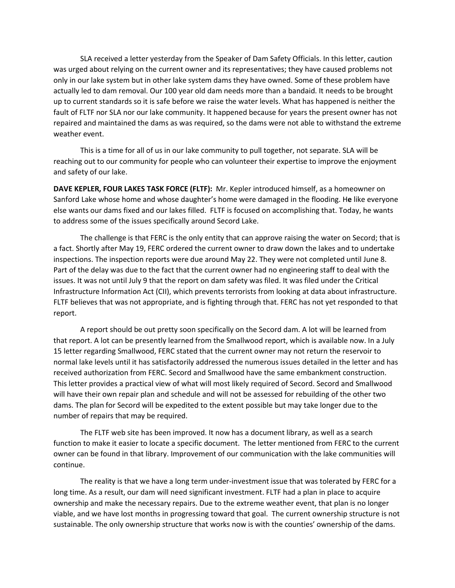SLA received a letter yesterday from the Speaker of Dam Safety Officials. In this letter, caution was urged about relying on the current owner and its representatives; they have caused problems not only in our lake system but in other lake system dams they have owned. Some of these problem have actually led to dam removal. Our 100 year old dam needs more than a bandaid. It needs to be brought up to current standards so it is safe before we raise the water levels. What has happened is neither the fault of FLTF nor SLA nor our lake community. It happened because for years the present owner has not repaired and maintained the dams as was required, so the dams were not able to withstand the extreme weather event.

This is a time for all of us in our lake community to pull together, not separate. SLA will be reaching out to our community for people who can volunteer their expertise to improve the enjoyment and safety of our lake.

DAVE KEPLER, FOUR LAKES TASK FORCE (FLTF): Mr. Kepler introduced himself, as a homeowner on Sanford Lake whose home and whose daughter's home were damaged in the flooding. He like everyone else wants our dams fixed and our lakes filled. FLTF is focused on accomplishing that. Today, he wants to address some of the issues specifically around Secord Lake.

The challenge is that FERC is the only entity that can approve raising the water on Secord; that is a fact. Shortly after May 19, FERC ordered the current owner to draw down the lakes and to undertake inspections. The inspection reports were due around May 22. They were not completed until June 8. Part of the delay was due to the fact that the current owner had no engineering staff to deal with the issues. It was not until July 9 that the report on dam safety was filed. It was filed under the Critical Infrastructure Information Act (CII), which prevents terrorists from looking at data about infrastructure. FLTF believes that was not appropriate, and is fighting through that. FERC has not yet responded to that report.

A report should be out pretty soon specifically on the Secord dam. A lot will be learned from that report. A lot can be presently learned from the Smallwood report, which is available now. In a July 15 letter regarding Smallwood, FERC stated that the current owner may not return the reservoir to normal lake levels until it has satisfactorily addressed the numerous issues detailed in the letter and has received authorization from FERC. Secord and Smallwood have the same embankment construction. This letter provides a practical view of what will most likely required of Secord. Secord and Smallwood will have their own repair plan and schedule and will not be assessed for rebuilding of the other two dams. The plan for Secord will be expedited to the extent possible but may take longer due to the number of repairs that may be required.

The FLTF web site has been improved. It now has a document library, as well as a search function to make it easier to locate a specific document. The letter mentioned from FERC to the current owner can be found in that library. Improvement of our communication with the lake communities will continue.

The reality is that we have a long term under-investment issue that was tolerated by FERC for a long time. As a result, our dam will need significant investment. FLTF had a plan in place to acquire ownership and make the necessary repairs. Due to the extreme weather event, that plan is no longer viable, and we have lost months in progressing toward that goal. The current ownership structure is not sustainable. The only ownership structure that works now is with the counties' ownership of the dams.